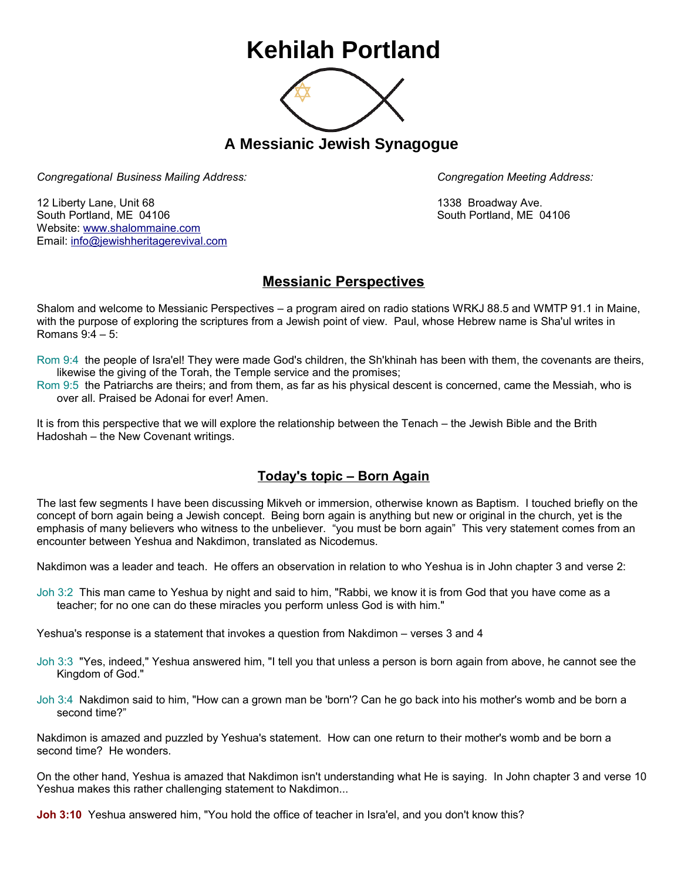## **Kehilah Portland**



**A Messianic Jewish Synagogue** 

*Congregational Business Mailing Address: Congregation Meeting Address:*

12 Liberty Lane, Unit 68 1338 Broadway Ave. South Portland, ME 04106 South Portland, ME 04106 Website: [www.shalommaine.com](http://www.shalommaine.com/) Email: [info@jewishheritagerevival.com](mailto:info@jewishheritagerevival.com) 

## **Messianic Perspectives**

Shalom and welcome to Messianic Perspectives – a program aired on radio stations WRKJ 88.5 and WMTP 91.1 in Maine, with the purpose of exploring the scriptures from a Jewish point of view. Paul, whose Hebrew name is Sha'ul writes in Romans 9:4 – 5:

- Rom 9:4 the people of Isra'el! They were made God's children, the Sh'khinah has been with them, the covenants are theirs, likewise the giving of the Torah, the Temple service and the promises;
- Rom 9:5 the Patriarchs are theirs; and from them, as far as his physical descent is concerned, came the Messiah, who is over all. Praised be Adonai for ever! Amen.

It is from this perspective that we will explore the relationship between the Tenach – the Jewish Bible and the Brith Hadoshah – the New Covenant writings.

## **Today's topic – Born Again**

The last few segments I have been discussing Mikveh or immersion, otherwise known as Baptism. I touched briefly on the concept of born again being a Jewish concept. Being born again is anything but new or original in the church, yet is the emphasis of many believers who witness to the unbeliever. "you must be born again" This very statement comes from an encounter between Yeshua and Nakdimon, translated as Nicodemus.

Nakdimon was a leader and teach. He offers an observation in relation to who Yeshua is in John chapter 3 and verse 2:

Joh 3:2 This man came to Yeshua by night and said to him, "Rabbi, we know it is from God that you have come as a teacher; for no one can do these miracles you perform unless God is with him."

Yeshua's response is a statement that invokes a question from Nakdimon – verses 3 and 4

- Joh 3:3 "Yes, indeed," Yeshua answered him, "I tell you that unless a person is born again from above, he cannot see the Kingdom of God."
- Joh 3:4 Nakdimon said to him, "How can a grown man be 'born'? Can he go back into his mother's womb and be born a second time?"

Nakdimon is amazed and puzzled by Yeshua's statement. How can one return to their mother's womb and be born a second time? He wonders.

On the other hand, Yeshua is amazed that Nakdimon isn't understanding what He is saying. In John chapter 3 and verse 10 Yeshua makes this rather challenging statement to Nakdimon...

**Joh 3:10** Yeshua answered him, "You hold the office of teacher in Isra'el, and you don't know this?